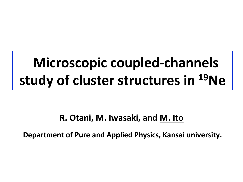# **Microscopic coupled-channels** study of cluster structures in <sup>19</sup>Ne

# **R. Otani, M. Iwasaki, and M. Ito**

**Department of Pure and Applied Physics, Kansai university.**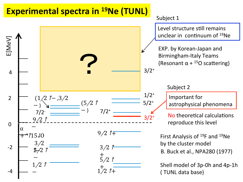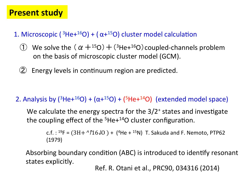1. Microscopic  $(3He+16O) + (\alpha+15O)$  cluster model calculation

- **(1)** We solve the  $(\alpha + 150) + (3$ He+ $160)$  coupled-channels problem on the basis of microscopic cluster model (GCM).
- $(2)$  Energy levels in continuum region are predicted.

2. Analysis by  $(^{3}$ He+ $^{16}$ O) +  $(\alpha + ^{15}O)$  +  $(^{5}$ He+ $^{14}O)$  (extended model space)

We calculate the energy spectra for the  $3/2^+$  states and investigate the coupling effect of the  $5$ He+ $14$ O cluster configuration.

c.f. :  $^{19}F = (3H + ^0/16J0) + (^4He + ^{15}N)$  T. Sakuda and F. Nemoto, PTP62 (1979) 

Absorbing boundary condition (ABC) is introduced to identify resonant states explicitly.

Ref. R. Otani et al., PRC90, 034316 (2014)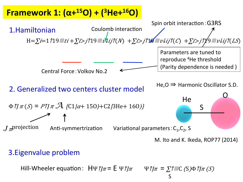

M. Ito and K. Ikeda, ROP77 (2014)

### 3. Eigenvalue problem

Hill-Wheeler equation:  $H\Psi \hat{\eta} = E \Psi \hat{\eta} = \Psi \hat{\eta} = \sum \hat{\eta}$  (S) $\Phi \hat{\eta} = (S) \Phi \hat{\eta}$ S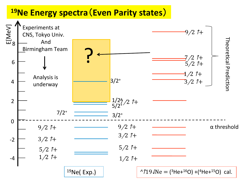# **19Ne Energy spectra**(**Even Parity states**)

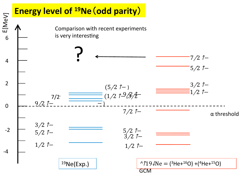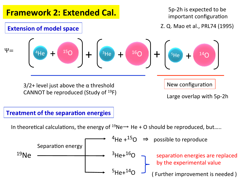

#### **Treatment of the separation energies**

In theoretical calculations, the energy of  $^{19}$ Ne  $\rightarrow$  He + O should be reproduced, but.....

Separation energy

\n
$$
{}^{4}He + {}^{15}O \Rightarrow
$$
 possible to reproduce

\n ${}^{3}He + {}^{16}O$ 

\n ${}^{3}He + {}^{16}O$ 

\nSeparation energies are replaced by the experimental value (Further improvement is needed)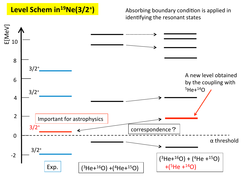### Level Schem in<sup>19</sup>Ne(3/2<sup>+</sup>)

Absorbing boundary condition is applied in identifying the resonant states

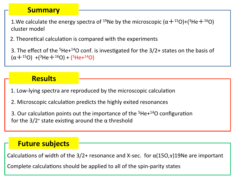#### **Summary**

1.We calculate the energy spectra of <sup>19</sup>Ne by the microscopic  $(\alpha +^{15}O)+(3He+^{16}O)$ cluster model

2. Theoretical calculation is compared with the experiments

3. The effect of the  $5$ He+ $14$ O conf. is investigated for the  $3/2$ + states on the basis of  $(\alpha + {}^{15}O)$  +(<sup>3</sup>He +  ${}^{16}O$ ) + (<sup>5</sup>He+ ${}^{14}O$ )

### **Results**

- 1. Low-lying spectra are reproduced by the microscopic calculation
- 2. Microscopic calculation predicts the highly exited resonances

3. Our calculation points out the importance of the  $5$ He $+14$ O configuration for the  $3/2^+$  state existing around the  $\alpha$  threshold

#### **Future subjects**

Calculations of width of the  $3/2+$  resonance and X-sec. for  $\alpha(15O,x)19Ne$  are important

Complete calculations should be applied to all of the spin-parity states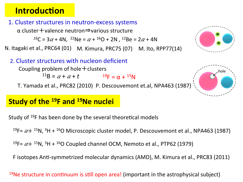# **Introduction**

#### 1. Cluster structures in neutron-excess systems

 $\alpha$  cluster + valence neutron $\Rightarrow$  various structure

 $^{16}C = 3\alpha + 4N$ ,  $^{22}Ne = \alpha + \frac{16}{O} + 2N$ ,  $^{12}Be = 2\alpha + 4N$ 

N. Itagaki et al., PRC64 (01) M. Kimura, PRC75 (07) M. Ito, RPP77(14)

#### 2. Cluster structures with nucleon deficient

Coupling problem of hole  $+$  clusters

 $^{11}B = \alpha + \alpha + t$   $^{19}F = \alpha + ^{15}N$ 

T. Yamada et al., PRC82 (2010) P. Descouvemont et.al, NPA463 (1987)

### **Study of the <sup>19</sup>F and <sup>19</sup>Ne nuclei**

Study of  $19F$  has been done by the several theoretical models

<sup>19</sup>F=  $\alpha$ + <sup>15</sup>N, <sup>3</sup>H + <sup>16</sup>O Microscopic cluster model, P. Descouvemont et al., NPA463 (1987)

<sup>19</sup>F=  $\alpha$ + <sup>15</sup>N, <sup>3</sup>H + <sup>16</sup>O Coupled channel OCM, Nemoto et al., PTP62 (1979)

F isotopes Anti-symmetrized molecular dynamics (AMD), M. Kimura et al., PRC83 (2011)

#### <sup>19</sup>Ne structure in continuum is still open area! (important in the astrophysical subject)



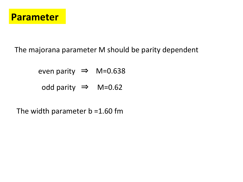

The majorana parameter M should be parity dependent

even parity  $\Rightarrow$  M=0.638

odd parity ⇒ M=0.62

The width parameter  $b = 1.60$  fm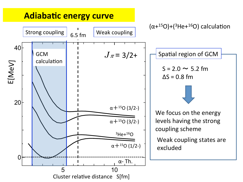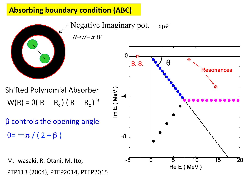### **Absorbing boundary condition (ABC)**

 $H\rightarrow H-\dot{\eta}W$ 

Negative Imaginary pot.  $-\eta w$ 



 $W(R) = \theta(R - R_c) (R - R_c)^{\beta}$ Shifted Polynomial Absorber

 $\theta = -\pi / (2 + \beta)$  $\beta$  controls the opening angle

M. Iwasaki, R. Otani, M. Ito, PTP113 (2004), PTEP2014, PTEP2015

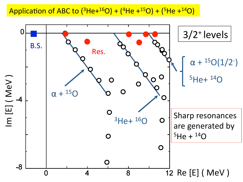Application of ABC to  $({}^{3}$ He+<sup>16</sup>O) +  $({}^{4}$ He +<sup>15</sup>O) +  $({}^{5}$ He +<sup>14</sup>O)

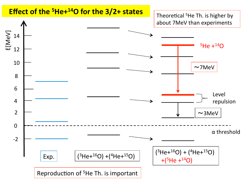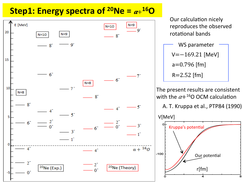# **Step1: Energy spectra of <sup>20</sup>Ne =**  $\alpha + {}^{16}O$



Our calculation nicely reproduces the observed rotational bands

$$
WS parameter
$$
\n
$$
V = -169.21 \text{ [MeV]}
$$
\n
$$
a = 0.796 \text{ [fm]}
$$
\n
$$
R = 2.52 \text{ [fm]}
$$

The present results are consistent with the  $\alpha+16$ O OCM calculation

A. T. Kruppa et al., PTP84 (1990)

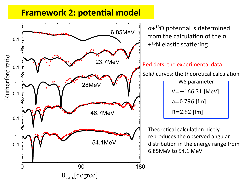### **Framework 2: potential model**

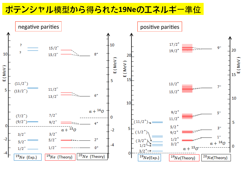ポテンシャル模型から得られた**19Ne**のエネルギー準位

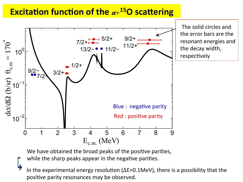### **Excitation function of the**  $\alpha + ^{15}O$  **scattering**



We have obtained the broad peaks of the positive parities,

while the sharp peaks appear in the negative parities.

In the experimental energy resolution ( $\Delta E$ =0.1MeV), there is a possibility that the positive parity resonances may be observed.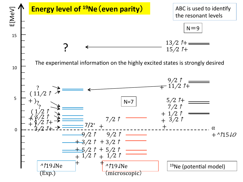